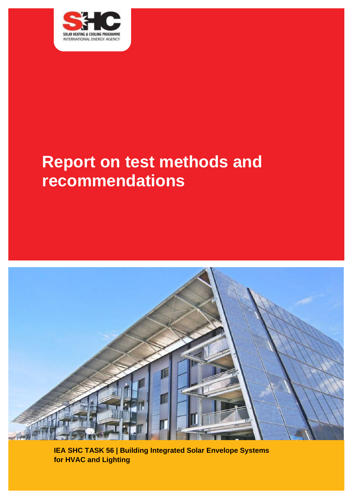

# **Report on test methods and recommendations**



**IEA SHC TASK 56 | Building Integrated Solar Envelope Systems for HVAC and Lighting**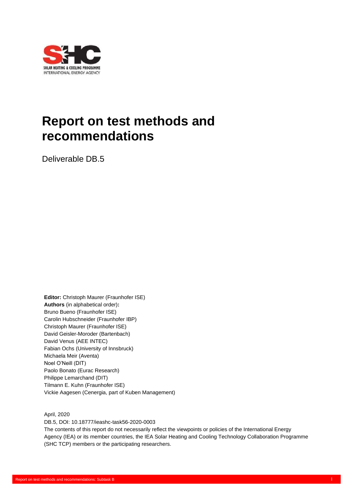

# **Report on test methods and recommendations**

Deliverable DB.5

**Editor:** Christoph Maurer (Fraunhofer ISE) **Authors** (in alphabetical order)**:** Bruno Bueno (Fraunhofer ISE) Carolin Hubschneider (Fraunhofer IBP) Christoph Maurer (Fraunhofer ISE) David Geisler-Moroder (Bartenbach) David Venus (AEE INTEC) Fabian Ochs (University of Innsbruck) Michaela Meir (Aventa) Noel O'Neill (DIT) Paolo Bonato (Eurac Research) Philippe Lemarchand (DIT) Tilmann E. Kuhn (Fraunhofer ISE) Vickie Aagesen (Cenergia, part of Kuben Management)

April, 2020

DB.5, DOI: 10.18777/ieashc-task56-2020-0003 The contents of this report do not necessarily reflect the viewpoints or policies of the International Energy Agency (IEA) or its member countries, the IEA Solar Heating and Cooling Technology Collaboration Programme (SHC TCP) members or the participating researchers.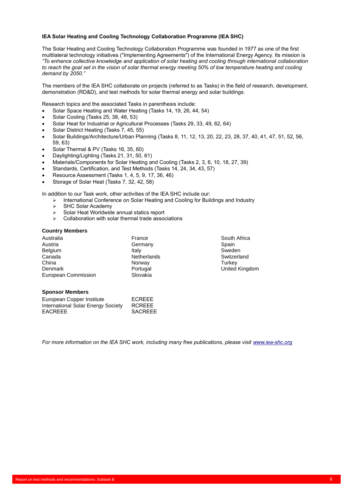#### **IEA Solar Heating and Cooling Technology Collaboration Programme (IEA SHC)**

The Solar Heating and Cooling Technology Collaboration Programme was founded in 1977 as one of the first multilateral technology initiatives ("Implementing Agreements") of the International Energy Agency. Its mission is *"To enhance collective knowledge and application of solar heating and cooling through international collaboration*  to reach the goal set in the vision of solar thermal energy meeting 50% of low temperature heating and cooling *demand by 2050."*

The members of the IEA SHC collaborate on projects (referred to as Tasks) in the field of research, development, demonstration (RD&D), and test methods for solar thermal energy and solar buildings.

Research topics and the associated Tasks in parenthesis include:

- Solar Space Heating and Water Heating (Tasks 14, 19, 26, 44, 54)
- Solar Cooling (Tasks 25, 38, 48, 53)
- Solar Heat for Industrial or Agricultural Processes (Tasks 29, 33, 49, 62, 64)
- Solar District Heating (Tasks 7, 45, 55)
- Solar Buildings/Architecture/Urban Planning (Tasks 8, 11, 12, 13, 20, 22, 23, 28, 37, 40, 41, 47, 51, 52, 56, 59, 63)
- Solar Thermal & PV (Tasks 16, 35, 60)
- Daylighting/Lighting (Tasks 21, 31, 50, 61)
- Materials/Components for Solar Heating and Cooling (Tasks 2, 3, 6, 10, 18, 27, 39)
- Standards, Certification, and Test Methods (Tasks 14, 24, 34, 43, 57)
- Resource Assessment (Tasks 1, 4, 5, 9, 17, 36, 46)
- Storage of Solar Heat (Tasks 7, 32, 42, 58)

In addition to our Task work, other activities of the IEA SHC include our:

- ➢ International Conference on Solar Heating and Cooling for Buildings and Industry
- > SHC Solar Academy<br>> Solar Heat Worldwide
- ➢ Solar Heat Worldwide annual statics report
- ➢ Collaboration with solar thermal trade associations

#### **Country Members**

| Australia           | France             | South A         |
|---------------------|--------------------|-----------------|
| Austria             | Germany            | Spain           |
| <b>Belgium</b>      | Italy              | Sweden          |
| Canada              | <b>Netherlands</b> | Switzerl        |
| China               | Norway             | Turkey          |
| Denmark             | Portugal           | United <b>h</b> |
| European Commission | Slovakia           |                 |

South Africa Switzerland<br>Turkey United Kingdom

#### **Sponsor Members**

| European Copper Institute          | ECREEE         |
|------------------------------------|----------------|
| International Solar Energy Society | <b>RCREEE</b>  |
| <b>EACREEE</b>                     | <b>SACREEE</b> |

*For more information on the IEA SHC work, including many free publications, please visi[t www.iea-shc.org](http://www.iea-shc.org/)*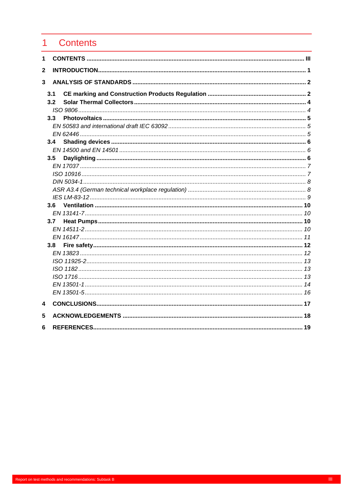#### <span id="page-3-0"></span> $\overline{1}$ **Contents**

| 1           |                  |  |
|-------------|------------------|--|
| $\mathbf 2$ |                  |  |
| 3           |                  |  |
|             | 3.1              |  |
|             | 3.2              |  |
|             |                  |  |
|             | 3.3              |  |
|             |                  |  |
|             |                  |  |
|             | 3.4              |  |
|             |                  |  |
|             | 3.5              |  |
|             |                  |  |
|             |                  |  |
|             |                  |  |
|             |                  |  |
|             | 3.6              |  |
|             |                  |  |
|             | 3.7              |  |
|             |                  |  |
|             |                  |  |
|             | 3.8 <sup>°</sup> |  |
|             |                  |  |
|             |                  |  |
|             |                  |  |
|             |                  |  |
|             |                  |  |
|             |                  |  |
| 4           |                  |  |
| 5           |                  |  |
| 6           |                  |  |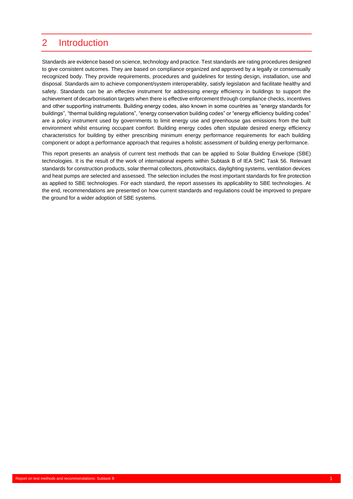### <span id="page-4-0"></span>2 Introduction

Standards are evidence based on science, technology and practice. Test standards are rating procedures designed to give consistent outcomes. They are based on compliance organized and approved by a legally or consensually recognized body. They provide requirements, procedures and guidelines for testing design, installation, use and disposal. Standards aim to achieve component/system interoperability, satisfy legislation and facilitate healthy and safety. Standards can be an effective instrument for addressing energy efficiency in buildings to support the achievement of decarbonisation targets when there is effective enforcement through compliance checks, incentives and other supporting instruments. Building energy codes, also known in some countries as "energy standards for buildings", "thermal building regulations", "energy conservation building codes" or "energy efficiency building codes" are a policy instrument used by governments to limit energy use and greenhouse gas emissions from the built environment whilst ensuring occupant comfort. Building energy codes often stipulate desired energy efficiency characteristics for building by either prescribing minimum energy performance requirements for each building component or adopt a performance approach that requires a holistic assessment of building energy performance.

This report presents an analysis of current test methods that can be applied to Solar Building Envelope (SBE) technologies. It is the result of the work of international experts within Subtask B of IEA SHC Task 56. Relevant standards for construction products, solar thermal collectors, photovoltaics, daylighting systems, ventilation devices and heat pumps are selected and assessed. The selection includes the most important standards for fire protection as applied to SBE technologies. For each standard, the report assesses its applicability to SBE technologies. At the end, recommendations are presented on how current standards and regulations could be improved to prepare the ground for a wider adoption of SBE systems.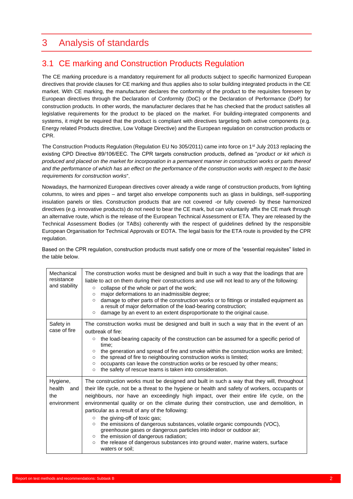### <span id="page-5-0"></span>3 Analysis of standards

### <span id="page-5-1"></span>3.1 CE marking and Construction Products Regulation

The CE marking procedure is a mandatory requirement for all products subject to specific harmonized European directives that provide clauses for CE marking and thus applies also to solar building integrated products in the CE market. With CE marking, the manufacturer declares the conformity of the product to the requisites foreseen by European directives through the Declaration of Conformity (DoC) or the Declaration of Performance (DoP) for construction products. In other words, the manufacturer declares that he has checked that the product satisfies all legislative requirements for the product to be placed on the market. For building-integrated components and systems, it might be required that the product is compliant with directives targeting both active components (e.g. Energy related Products directive, Low Voltage Directive) and the European regulation on construction products or CPR.

The Construction Products Regulation (Regulation EU No 305/2011) came into force on 1st July 2013 replacing the existing CPD Directive 89/106/EEC. The CPR targets construction products, defined as "*product or kit which is produced and placed on the market for incorporation in a permanent manner in construction works or parts thereof and the performance of which has an effect on the performance of the construction works with respect to the basic requirements for construction works*".

Nowadays, the harmonized European directives cover already a wide range of construction products, from lighting columns, to wires and pipes – and target also envelope components such as glass in buildings, self-supporting insulation panels or tiles. Construction products that are not covered -or fully covered- by these harmonized directives (e.g. innovative products) do not need to bear the CE mark, but can voluntarily affix the CE mark through an alternative route, which is the release of the European Technical Assessment or ETA. They are released by the Technical Assessment Bodies (or TABs) coherently with the respect of guidelines defined by the responsible European Organisation for Technical Approvals or EOTA. The legal basis for the ETA route is provided by the CPR regulation.

Based on the CPR regulation, construction products must satisfy one or more of the "essential requisites" listed in the table below.

| Mechanical<br>resistance<br>and stability       | The construction works must be designed and built in such a way that the loadings that are<br>liable to act on them during their constructions and use will not lead to any of the following:<br>collapse of the whole or part of the work;<br>O<br>major deformations to an inadmissible degree;<br>$\circ$<br>damage to other parts of the construction works or to fittings or installed equipment as<br>$\circ$<br>a result of major deformation of the load-bearing construction;<br>damage by an event to an extent disproportionate to the original cause.<br>$\circ$                                                                                                                                                                                                                      |  |
|-------------------------------------------------|---------------------------------------------------------------------------------------------------------------------------------------------------------------------------------------------------------------------------------------------------------------------------------------------------------------------------------------------------------------------------------------------------------------------------------------------------------------------------------------------------------------------------------------------------------------------------------------------------------------------------------------------------------------------------------------------------------------------------------------------------------------------------------------------------|--|
| Safety in<br>case of fire                       | The construction works must be designed and built in such a way that in the event of an<br>outbreak of fire:<br>the load-bearing capacity of the construction can be assumed for a specific period of<br>$\circ$<br>time:<br>the generation and spread of fire and smoke within the construction works are limited;<br>$\circ$<br>the spread of fire to neighbouring construction works is limited;<br>$\circ$<br>occupants can leave the construction works or be rescued by other means;<br>$\circ$<br>the safety of rescue teams is taken into consideration.<br>$\circ$                                                                                                                                                                                                                       |  |
| Hygiene,<br>health<br>and<br>the<br>environment | The construction works must be designed and built in such a way that they will, throughout<br>their life cycle, not be a threat to the hygiene or health and safety of workers, occupants or<br>neighbours, nor have an exceedingly high impact, over their entire life cycle, on the<br>environmental quality or on the climate during their construction, use and demolition, in<br>particular as a result of any of the following:<br>the giving-off of toxic gas;<br>O<br>the emissions of dangerous substances, volatile organic compounds (VOC),<br>$\circ$<br>greenhouse gases or dangerous particles into indoor or outdoor air;<br>o the emission of dangerous radiation;<br>the release of dangerous substances into ground water, marine waters, surface<br>$\circ$<br>waters or soil: |  |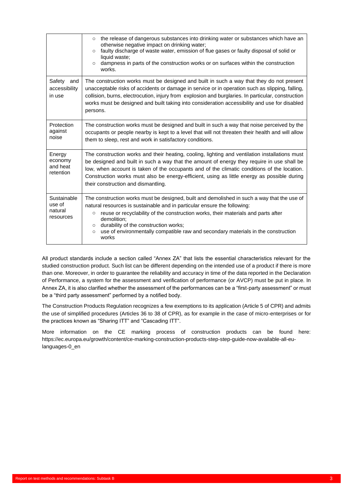|                                               | the release of dangerous substances into drinking water or substances which have an<br>$\circ$<br>otherwise negative impact on drinking water;<br>faulty discharge of waste water, emission of flue gases or faulty disposal of solid or<br>$\circ$<br>liquid waste;<br>dampness in parts of the construction works or on surfaces within the construction<br>$\circ$<br>works.                                                                     |  |
|-----------------------------------------------|-----------------------------------------------------------------------------------------------------------------------------------------------------------------------------------------------------------------------------------------------------------------------------------------------------------------------------------------------------------------------------------------------------------------------------------------------------|--|
| Safety<br>and<br>accessibility<br>in use      | The construction works must be designed and built in such a way that they do not present<br>unacceptable risks of accidents or damage in service or in operation such as slipping, falling,<br>collision, burns, electrocution, injury from explosion and burglaries. In particular, construction<br>works must be designed and built taking into consideration accessibility and use for disabled<br>persons.                                      |  |
| Protection<br>against<br>noise                | The construction works must be designed and built in such a way that noise perceived by the<br>occupants or people nearby is kept to a level that will not threaten their health and will allow<br>them to sleep, rest and work in satisfactory conditions.                                                                                                                                                                                         |  |
| Energy<br>economy<br>and heat<br>retention    | The construction works and their heating, cooling, lighting and ventilation installations must<br>be designed and built in such a way that the amount of energy they require in use shall be<br>low, when account is taken of the occupants and of the climatic conditions of the location.<br>Construction works must also be energy-efficient, using as little energy as possible during<br>their construction and dismantling.                   |  |
| Sustainable<br>use of<br>natural<br>resources | The construction works must be designed, built and demolished in such a way that the use of<br>natural resources is sustainable and in particular ensure the following:<br>reuse or recyclability of the construction works, their materials and parts after<br>$\circ$<br>demolition;<br>durability of the construction works;<br>$\circ$<br>use of environmentally compatible raw and secondary materials in the construction<br>$\circ$<br>works |  |

All product standards include a section called "Annex ZA" that lists the essential characteristics relevant for the studied construction product. Such list can be different depending on the intended use of a product if there is more than one. Moreover, in order to guarantee the reliability and accuracy in time of the data reported in the Declaration of Performance, a system for the assessment and verification of performance (or AVCP) must be put in place. In Annex ZA, it is also clarified whether the assessment of the performances can be a "first-party assessment" or must be a "third party assessment" performed by a notified body.

The Construction Products Regulation recognizes a few exemptions to its application (Article 5 of CPR) and admits the use of simplified procedures (Articles 36 to 38 of CPR), as for example in the case of micro-enterprises or for the practices known as "Sharing ITT" and "Cascading ITT".

More information on the CE marking process of construction products can be found here: https://ec.europa.eu/growth/content/ce-marking-construction-products-step-step-guide-now-available-all-eulanguages-0\_en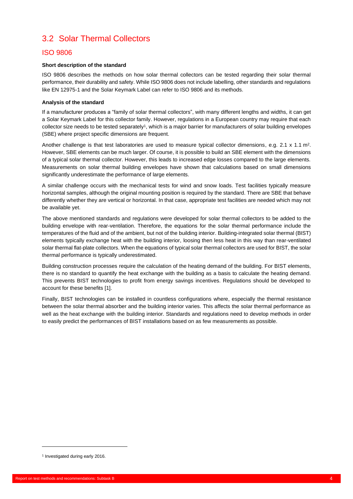### <span id="page-7-0"></span>3.2 Solar Thermal Collectors

#### <span id="page-7-1"></span>ISO 9806

#### **Short description of the standard**

ISO 9806 describes the methods on how solar thermal collectors can be tested regarding their solar thermal performance, their durability and safety. While ISO 9806 does not include labelling, other standards and regulations like EN 12975-1 and the Solar Keymark Label can refer to ISO 9806 and its methods.

#### **Analysis of the standard**

If a manufacturer produces a "family of solar thermal collectors", with many different lengths and widths, it can get a Solar Keymark Label for this collector family. However, regulations in a European country may require that each collector size needs to be tested separately<sup>1</sup>, which is a major barrier for manufacturers of solar building envelopes (SBE) where project specific dimensions are frequent.

Another challenge is that test laboratories are used to measure typical collector dimensions, e.g. 2.1 x 1.1 m<sup>2</sup>. However, SBE elements can be much larger. Of course, it is possible to build an SBE element with the dimensions of a typical solar thermal collector. However, this leads to increased edge losses compared to the large elements. Measurements on solar thermal building envelopes have shown that calculations based on small dimensions significantly underestimate the performance of large elements.

A similar challenge occurs with the mechanical tests for wind and snow loads. Test facilities typically measure horizontal samples, although the original mounting position is required by the standard. There are SBE that behave differently whether they are vertical or horizontal. In that case, appropriate test facilities are needed which may not be available yet.

The above mentioned standards and regulations were developed for solar thermal collectors to be added to the building envelope with rear-ventilation. Therefore, the equations for the solar thermal performance include the temperatures of the fluid and of the ambient, but not of the building interior. Building-integrated solar thermal (BIST) elements typically exchange heat with the building interior, loosing then less heat in this way than rear-ventilated solar thermal flat-plate collectors. When the equations of typical solar thermal collectors are used for BIST, the solar thermal performance is typically underestimated.

Building construction processes require the calculation of the heating demand of the building. For BIST elements, there is no standard to quantify the heat exchange with the building as a basis to calculate the heating demand. This prevents BIST technologies to profit from energy savings incentives. Regulations should be developed to account for these benefits [1].

Finally, BIST technologies can be installed in countless configurations where, especially the thermal resistance between the solar thermal absorber and the building interior varies. This affects the solar thermal performance as well as the heat exchange with the building interior. Standards and regulations need to develop methods in order to easily predict the performances of BIST installations based on as few measurements as possible.

<sup>1</sup> Investigated during early 2016.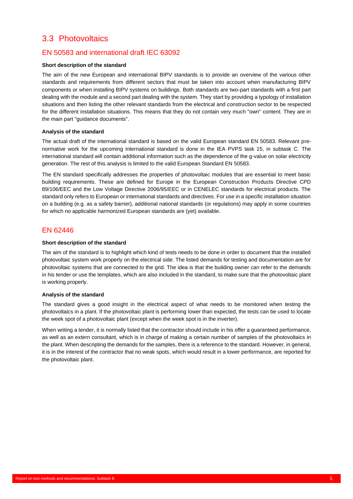### <span id="page-8-0"></span>3.3 Photovoltaics

#### <span id="page-8-1"></span>EN 50583 and international draft IEC 63092

#### **Short description of the standard**

The aim of the new European and international BIPV standards is to provide an overview of the various other standards and requirements from different sectors that must be taken into account when manufacturing BIPV components or when installing BIPV systems on buildings. Both standards are two-part standards with a first part dealing with the module and a second part dealing with the system. They start by providing a typology of installation situations and then listing the other relevant standards from the electrical and construction sector to be respected for the different installation situations. This means that they do not contain very much "own" content. They are in the main part "guidance documents".

#### **Analysis of the standard**

The actual draft of the international standard is based on the valid European standard EN 50583. Relevant prenormative work for the upcoming international standard is done in the IEA PVPS task 15, in subtask C. The international standard will contain additional information such as the dependence of the g-value on solar electricity generation. The rest of this analysis is limited to the valid European Standard EN 50583.

The EN standard specifically addresses the properties of photovoltaic modules that are essential to meet basic building requirements. These are defined for Europe in the European Construction Products Directive CPD 89/106/EEC and the Low Voltage Directive 2006/95/EEC or in CENELEC standards for electrical products. The standard only refers to European or international standards and directives. For use in a specific installation situation on a building (e.g. as a safety barrier), additional national standards (or regulations) may apply in some countries for which no applicable harmonized European standards are (yet) available.

#### <span id="page-8-2"></span>EN 62446

#### **Short description of the standard**

The aim of the standard is to highlight which kind of tests needs to be done in order to document that the installed photovoltaic system work properly on the electrical side. The listed demands for testing and documentation are for photovoltaic systems that are connected to the grid. The idea is that the building owner can refer to the demands in his tender or use the templates, which are also included in the standard, to make sure that the photovoltaic plant is working properly.

#### **Analysis of the standard**

The standard gives a good insight in the electrical aspect of what needs to be monitored when testing the photovoltaics in a plant. If the photovoltaic plant is performing lower than expected, the tests can be used to locate the week spot of a photovoltaic plant (except when the week spot is in the inverter).

When writing a tender, it is normally listed that the contractor should include in his offer a guaranteed performance, as well as an extern consultant, which is in charge of making a certain number of samples of the photovoltaics in the plant. When descripting the demands for the samples, there is a reference to the standard. However, in general, it is in the interest of the contractor that no weak spots, which would result in a lower performance, are reported for the photovoltaic plant.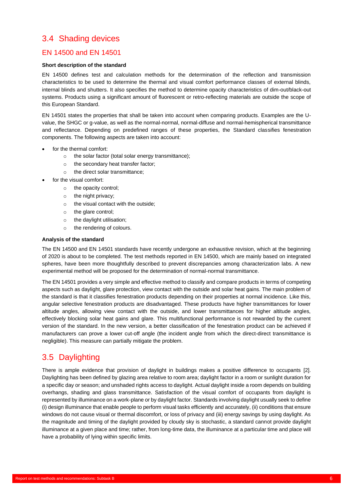### <span id="page-9-0"></span>3.4 Shading devices

#### <span id="page-9-1"></span>EN 14500 and EN 14501

#### **Short description of the standard**

EN 14500 defines test and calculation methods for the determination of the reflection and transmission characteristics to be used to determine the thermal and visual comfort performance classes of external blinds, internal blinds and shutters. It also specifies the method to determine opacity characteristics of dim-out/black-out systems. Products using a significant amount of fluorescent or retro-reflecting materials are outside the scope of this European Standard.

EN 14501 states the properties that shall be taken into account when comparing products. Examples are the Uvalue, the SHGC or g-value, as well as the normal-normal, normal-diffuse and normal-hemispherical transmittance and reflectance. Depending on predefined ranges of these properties, the Standard classifies fenestration components. The following aspects are taken into account:

- for the thermal comfort:
	- o the solar factor (total solar energy transmittance);
	- o the secondary heat transfer factor;
	- o the direct solar transmittance;
- for the visual comfort:
	- o the opacity control;
	- o the night privacy;
	- o the visual contact with the outside;
	- o the glare control;
	- o the daylight utilisation;
	- o the rendering of colours.

#### **Analysis of the standard**

The EN 14500 and EN 14501 standards have recently undergone an exhaustive revision, which at the beginning of 2020 is about to be completed. The test methods reported in EN 14500, which are mainly based on integrated spheres, have been more thoughtfully described to prevent discrepancies among characterization labs. A new experimental method will be proposed for the determination of normal-normal transmittance.

The EN 14501 provides a very simple and effective method to classify and compare products in terms of competing aspects such as daylight, glare protection, view contact with the outside and solar heat gains. The main problem of the standard is that it classifies fenestration products depending on their properties at normal incidence. Like this, angular selective fenestration products are disadvantaged. These products have higher transmittances for lower altitude angles, allowing view contact with the outside, and lower transmittances for higher altitude angles, effectively blocking solar heat gains and glare. This multifunctional performance is not rewarded by the current version of the standard. In the new version, a better classification of the fenestration product can be achieved if manufacturers can prove a lower cut-off angle (the incident angle from which the direct-direct transmittance is negligible). This measure can partially mitigate the problem.

### <span id="page-9-2"></span>3.5 Daylighting

There is ample evidence that provision of daylight in buildings makes a positive difference to occupants [2]. Daylighting has been defined by glazing area relative to room area; daylight factor in a room or sunlight duration for a specific day or season; and unshaded rights access to daylight. Actual daylight inside a room depends on building overhangs, shading and glass transmittance. Satisfaction of the visual comfort of occupants from daylight is represented by illuminance on a work-plane or by daylight factor. Standards involving daylight usually seek to define (i) design illuminance that enable people to perform visual tasks efficiently and accurately, (ii) conditions that ensure windows do not cause visual or thermal discomfort, or loss of privacy and (iii) energy savings by using daylight. As the magnitude and timing of the daylight provided by cloudy sky is stochastic, a standard cannot provide daylight illuminance at a given place and time; rather, from long-time data, the illuminance at a particular time and place will have a probability of lying within specific limits.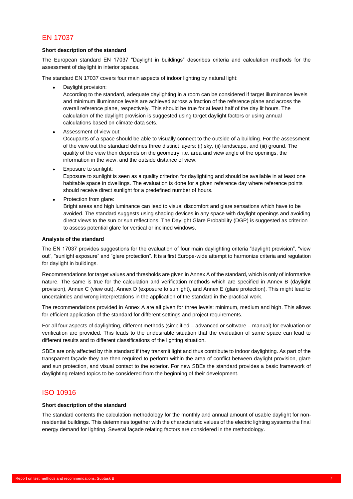#### <span id="page-10-0"></span>EN 17037

#### **Short description of the standard**

The European standard EN 17037 "Daylight in buildings" describes criteria and calculation methods for the assessment of daylight in interior spaces.

The standard EN 17037 covers four main aspects of indoor lighting by natural light:

• Daylight provision:

According to the standard, adequate daylighting in a room can be considered if target illuminance levels and minimum illuminance levels are achieved across a fraction of the reference plane and across the overall reference plane, respectively. This should be true for at least half of the day lit hours. The calculation of the daylight provision is suggested using target daylight factors or using annual calculations based on climate data sets.

• Assessment of view out:

Occupants of a space should be able to visually connect to the outside of a building. For the assessment of the view out the standard defines three distinct layers: (i) sky, (ii) landscape, and (iii) ground. The quality of the view then depends on the geometry, i.e. area and view angle of the openings, the information in the view, and the outside distance of view.

• Exposure to sunlight:

Exposure to sunlight is seen as a quality criterion for daylighting and should be available in at least one habitable space in dwellings. The evaluation is done for a given reference day where reference points should receive direct sunlight for a predefined number of hours.

Protection from glare:

Bright areas and high luminance can lead to visual discomfort and glare sensations which have to be avoided. The standard suggests using shading devices in any space with daylight openings and avoiding direct views to the sun or sun reflections. The Daylight Glare Probability (DGP) is suggested as criterion to assess potential glare for vertical or inclined windows.

#### **Analysis of the standard**

The EN 17037 provides suggestions for the evaluation of four main daylighting criteria "daylight provision", "view out", "sunlight exposure" and "glare protection". It is a first Europe-wide attempt to harmonize criteria and regulation for daylight in buildings.

Recommendations for target values and thresholds are given in Annex A of the standard, which is only of informative nature. The same is true for the calculation and verification methods which are specified in Annex B (daylight provision), Annex C (view out), Annex D (exposure to sunlight), and Annex E (glare protection). This might lead to uncertainties and wrong interpretations in the application of the standard in the practical work.

The recommendations provided in Annex A are all given for three levels: minimum, medium and high. This allows for efficient application of the standard for different settings and project requirements.

For all four aspects of daylighting, different methods (simplified – advanced or software – manual) for evaluation or verification are provided. This leads to the undesirable situation that the evaluation of same space can lead to different results and to different classifications of the lighting situation.

SBEs are only affected by this standard if they transmit light and thus contribute to indoor daylighting. As part of the transparent façade they are then required to perform within the area of conflict between daylight provision, glare and sun protection, and visual contact to the exterior. For new SBEs the standard provides a basic framework of daylighting related topics to be considered from the beginning of their development.

#### <span id="page-10-1"></span>ISO 10916

#### **Short description of the standard**

The standard contents the calculation methodology for the monthly and annual amount of usable daylight for nonresidential buildings. This determines together with the characteristic values of the electric lighting systems the final energy demand for lighting. Several façade relating factors are considered in the methodology.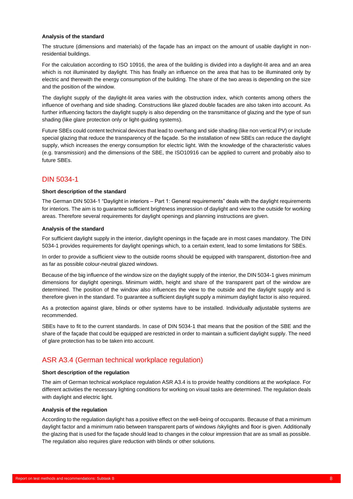#### **Analysis of the standard**

The structure (dimensions and materials) of the façade has an impact on the amount of usable daylight in nonresidential buildings.

For the calculation according to ISO 10916, the area of the building is divided into a daylight-lit area and an area which is not illuminated by daylight. This has finally an influence on the area that has to be illuminated only by electric and therewith the energy consumption of the building. The share of the two areas is depending on the size and the position of the window.

The daylight supply of the daylight-lit area varies with the obstruction index, which contents among others the influence of overhang and side shading. Constructions like glazed double facades are also taken into account. As further influencing factors the daylight supply is also depending on the transmittance of glazing and the type of sun shading (like glare protection only or light-guiding systems).

Future SBEs could content technical devices that lead to overhang and side shading (like non vertical PV) or include special glazing that reduce the transparency of the façade. So the installation of new SBEs can reduce the daylight supply, which increases the energy consumption for electric light. With the knowledge of the characteristic values (e.g. transmission) and the dimensions of the SBE, the ISO10916 can be applied to current and probably also to future SBEs.

#### <span id="page-11-0"></span>DIN 5034-1

#### **Short description of the standard**

The German DIN 5034-1 "Daylight in interiors – Part 1: General requirements" deals with the daylight requirements for interiors. The aim is to guarantee sufficient brightness impression of daylight and view to the outside for working areas. Therefore several requirements for daylight openings and planning instructions are given.

#### **Analysis of the standard**

For sufficient daylight supply in the interior, daylight openings in the façade are in most cases mandatory. The DIN 5034-1 provides requirements for daylight openings which, to a certain extent, lead to some limitations for SBEs.

In order to provide a sufficient view to the outside rooms should be equipped with transparent, distortion-free and as far as possible colour-neutral glazed windows.

Because of the big influence of the window size on the daylight supply of the interior, the DIN 5034-1 gives minimum dimensions for daylight openings. Minimum width, height and share of the transparent part of the window are determined. The position of the window also influences the view to the outside and the daylight supply and is therefore given in the standard. To guarantee a sufficient daylight supply a minimum daylight factor is also required.

As a protection against glare, blinds or other systems have to be installed. Individually adjustable systems are recommended.

SBEs have to fit to the current standards. In case of DIN 5034-1 that means that the position of the SBE and the share of the façade that could be equipped are restricted in order to maintain a sufficient daylight supply. The need of glare protection has to be taken into account.

#### <span id="page-11-1"></span>ASR A3.4 (German technical workplace regulation)

#### **Short description of the regulation**

The aim of German technical workplace regulation ASR A3.4 is to provide healthy conditions at the workplace. For different activities the necessary lighting conditions for working on visual tasks are determined. The regulation deals with daylight and electric light.

#### **Analysis of the regulation**

According to the regulation daylight has a positive effect on the well-being of occupants. Because of that a minimum daylight factor and a minimum ratio between transparent parts of windows /skylights and floor is given. Additionally the glazing that is used for the façade should lead to changes in the colour impression that are as small as possible. The regulation also requires glare reduction with blinds or other solutions.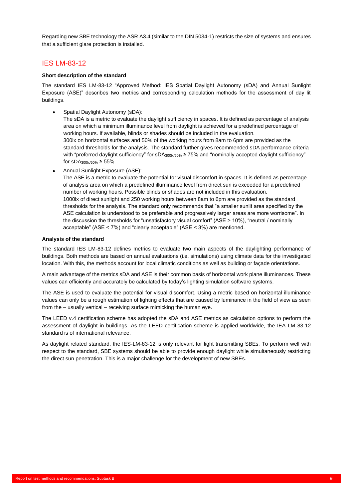Regarding new SBE technology the ASR A3.4 (similar to the DIN 5034-1) restricts the size of systems and ensures that a sufficient glare protection is installed.

#### <span id="page-12-0"></span>IES LM-83-12

#### **Short description of the standard**

The standard IES LM-83-12 "Approved Method: IES Spatial Daylight Autonomy (sDA) and Annual Sunlight Exposure (ASE)" describes two metrics and corresponding calculation methods for the assessment of day lit buildings.

• Spatial Daylight Autonomy (sDA):

The sDA is a metric to evaluate the daylight sufficiency in spaces. It is defined as percentage of analysis area on which a minimum illuminance level from daylight is achieved for a predefined percentage of working hours. If available, blinds or shades should be included in the evaluation. 300lx on horizontal surfaces and 50% of the working hours from 8am to 6pm are provided as the standard thresholds for the analysis. The standard further gives recommended sDA performance criteria with "preferred daylight sufficiency" for sDA $_{300\text{k/}50\%}$  ≥ 75% and "nominally accepted daylight sufficiency" for sDA $300 \times 50$ % ≥ 55%.

• Annual Sunlight Exposure (ASE):

The ASE is a metric to evaluate the potential for visual discomfort in spaces. It is defined as percentage of analysis area on which a predefined illuminance level from direct sun is exceeded for a predefined number of working hours. Possible blinds or shades are not included in this evaluation. 1000lx of direct sunlight and 250 working hours between 8am to 6pm are provided as the standard thresholds for the analysis. The standard only recommends that "a smaller sunlit area specified by the ASE calculation is understood to be preferable and progressively larger areas are more worrisome". In the discussion the thresholds for "unsatisfactory visual comfort" (ASE > 10%), "neutral / nominally acceptable" (ASE < 7%) and "clearly acceptable" (ASE < 3%) are mentioned.

#### **Analysis of the standard**

The standard IES LM-83-12 defines metrics to evaluate two main aspects of the daylighting performance of buildings. Both methods are based on annual evaluations (i.e. simulations) using climate data for the investigated location. With this, the methods account for local climatic conditions as well as building or façade orientations.

A main advantage of the metrics sDA and ASE is their common basis of horizontal work plane illuminances. These values can efficiently and accurately be calculated by today's lighting simulation software systems.

The ASE is used to evaluate the potential for visual discomfort. Using a metric based on horizontal illuminance values can only be a rough estimation of lighting effects that are caused by luminance in the field of view as seen from the – usually vertical – receiving surface mimicking the human eye.

The LEED v.4 certification scheme has adopted the sDA and ASE metrics as calculation options to perform the assessment of daylight in buildings. As the LEED certification scheme is applied worldwide, the IEA LM-83-12 standard is of international relevance.

As daylight related standard, the IES-LM-83-12 is only relevant for light transmitting SBEs. To perform well with respect to the standard, SBE systems should be able to provide enough daylight while simultaneously restricting the direct sun penetration. This is a major challenge for the development of new SBEs.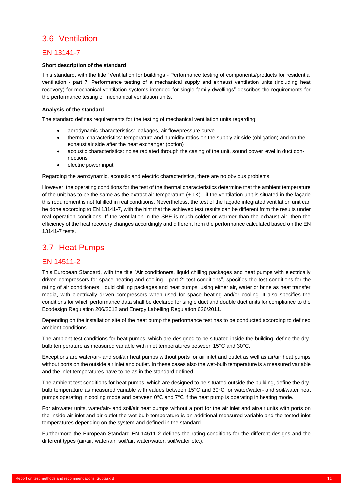### <span id="page-13-0"></span>3.6 Ventilation

#### <span id="page-13-1"></span>EN 13141-7

#### **Short description of the standard**

This standard, with the title "Ventilation for buildings - Performance testing of components/products for residential ventilation - part 7: Performance testing of a mechanical supply and exhaust ventilation units (including heat recovery) for mechanical ventilation systems intended for single family dwellings" describes the requirements for the performance testing of mechanical ventilation units.

#### **Analysis of the standard**

The standard defines requirements for the testing of mechanical ventilation units regarding:

- aerodynamic characteristics: leakages, air flow/pressure curve
- thermal characteristics: temperature and humidity ratios on the supply air side (obligation) and on the exhaust air side after the heat exchanger (option)
- acoustic characteristics: noise radiated through the casing of the unit, sound power level in duct connections
- electric power input

Regarding the aerodynamic, acoustic and electric characteristics, there are no obvious problems.

However, the operating conditions for the test of the thermal characteristics determine that the ambient temperature of the unit has to be the same as the extract air temperature  $(\pm 1K)$  - if the ventilation unit is situated in the facade this requirement is not fulfilled in real conditions. Nevertheless, the test of the façade integrated ventilation unit can be done according to EN 13141-7, with the hint that the achieved test results can be different from the results under real operation conditions. If the ventilation in the SBE is much colder or warmer than the exhaust air, then the efficiency of the heat recovery changes accordingly and different from the performance calculated based on the EN 13141-7 tests.

### <span id="page-13-2"></span>3.7 Heat Pumps

#### <span id="page-13-3"></span>EN 14511-2

This European Standard, with the title "Air conditioners, liquid chilling packages and heat pumps with electrically driven compressors for space heating and cooling - part 2: test conditions", specifies the test conditions for the rating of air conditioners, liquid chilling packages and heat pumps, using either air, water or brine as heat transfer media, with electrically driven compressors when used for space heating and/or cooling. It also specifies the conditions for which performance data shall be declared for single duct and double duct units for compliance to the Ecodesign Regulation 206/2012 and Energy Labelling Regulation 626/2011.

Depending on the installation site of the heat pump the performance test has to be conducted according to defined ambient conditions.

The ambient test conditions for heat pumps, which are designed to be situated inside the building, define the drybulb temperature as measured variable with inlet temperatures between 15°C and 30°C.

Exceptions are water/air- and soil/air heat pumps without ports for air inlet and outlet as well as air/air heat pumps without ports on the outside air inlet and outlet. In these cases also the wet-bulb temperature is a measured variable and the inlet temperatures have to be as in the standard defined.

The ambient test conditions for heat pumps, which are designed to be situated outside the building, define the drybulb temperature as measured variable with values between 15°C and 30°C for water/water- and soil/water heat pumps operating in cooling mode and between 0°C and 7°C if the heat pump is operating in heating mode.

For air/water units, water/air- and soil/air heat pumps without a port for the air inlet and air/air units with ports on the inside air inlet and air outlet the wet-bulb temperature is an additional measured variable and the tested inlet temperatures depending on the system and defined in the standard.

Furthermore the European Standard EN 14511-2 defines the rating conditions for the different designs and the different types (air/air, water/air, soil/air, water/water, soil/water etc.).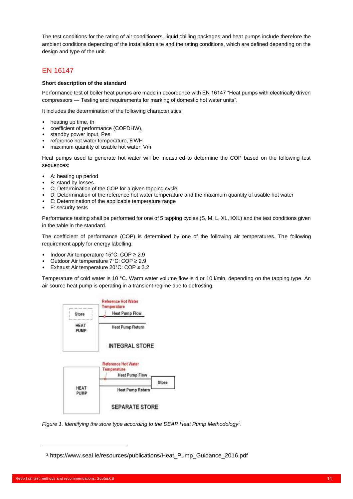The test conditions for the rating of air conditioners, liquid chilling packages and heat pumps include therefore the ambient conditions depending of the installation site and the rating conditions, which are defined depending on the design and type of the unit.

#### <span id="page-14-0"></span>EN 16147

#### **Short description of the standard**

Performance test of boiler heat pumps are made in accordance with EN 16147 "Heat pumps with electrically driven compressors ― Testing and requirements for marking of domestic hot water units".

It includes the determination of the following characteristics:

- heating up time, th
- coefficient of performance (COPDHW),
- standby power input, Pes
- reference hot water temperature, θ'WH
- maximum quantity of usable hot water, Vm

Heat pumps used to generate hot water will be measured to determine the COP based on the following test sequences:

- A: heating up period
- B: stand by losses
- C: Determination of the COP for a given tapping cycle
- D: Determination of the reference hot water temperature and the maximum quantity of usable hot water
- E: Determination of the applicable temperature range
- F: security tests

Performance testing shall be performed for one of 5 tapping cycles (S, M, L, XL, XXL) and the test conditions given in the table in the standard.

The coefficient of performance (COP) is determined by one of the following air temperatures. The following requirement apply for energy labelling:

- Indoor Air temperature 15°C: COP ≥ 2.9
- Outdoor Air temperature 7°C: COP ≥ 2.9
- Exhaust Air temperature 20°C: COP ≥ 3.2

Temperature of cold water is 10 °C. Warm water volume flow is 4 or 10 l/min, depending on the tapping type. An air source heat pump is operating in a transient regime due to defrosting.



*Figure 1. Identifying the store type according to the DEAP Heat Pump Methodology<sup>2</sup> .*

<sup>2</sup> https://www.seai.ie/resources/publications/Heat\_Pump\_Guidance\_2016.pdf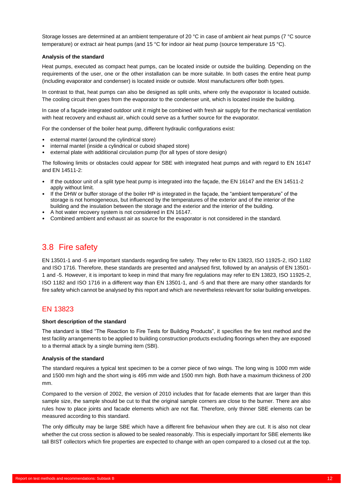Storage losses are determined at an ambient temperature of 20 °C in case of ambient air heat pumps (7 °C source temperature) or extract air heat pumps (and 15 °C for indoor air heat pump (source temperature 15 °C).

#### **Analysis of the standard**

Heat pumps, executed as compact heat pumps, can be located inside or outside the building. Depending on the requirements of the user, one or the other installation can be more suitable. In both cases the entire heat pump (including evaporator and condenser) is located inside or outside. Most manufacturers offer both types.

In contrast to that, heat pumps can also be designed as split units, where only the evaporator is located outside. The cooling circuit then goes from the evaporator to the condenser unit, which is located inside the building.

In case of a façade integrated outdoor unit it might be combined with fresh air supply for the mechanical ventilation with heat recovery and exhaust air, which could serve as a further source for the evaporator.

For the condenser of the boiler heat pump, different hydraulic configurations exist:

- external mantel (around the cylindrical store)
- internal mantel (inside a cylindrical or cuboid shaped store)
- external plate with additional circulation pump (for all types of store design)

The following limits or obstacles could appear for SBE with integrated heat pumps and with regard to EN 16147 and EN 14511-2:

- If the outdoor unit of a split type heat pump is integrated into the façade, the EN 16147 and the EN 14511-2 apply without limit.
- If the DHW or buffer storage of the boiler HP is integrated in the façade, the "ambient temperature" of the storage is not homogeneous, but influenced by the temperatures of the exterior and of the interior of the building and the insulation between the storage and the exterior and the interior of the building.
- A hot water recovery system is not considered in EN 16147.
- Combined ambient and exhaust air as source for the evaporator is not considered in the standard.

### <span id="page-15-0"></span>3.8 Fire safety

EN 13501-1 and -5 are important standards regarding fire safety. They refer to EN 13823, ISO 11925-2, ISO 1182 and ISO 1716. Therefore, these standards are presented and analysed first, followed by an analysis of EN 13501- 1 and -5. However, it is important to keep in mind that many fire regulations may refer to EN 13823, ISO 11925-2, ISO 1182 and ISO 1716 in a different way than EN 13501-1, and -5 and that there are many other standards for fire safety which cannot be analysed by this report and which are nevertheless relevant for solar building envelopes.

#### <span id="page-15-1"></span>EN 13823

#### **Short description of the standard**

The standard is titled "The Reaction to Fire Tests for Building Products", it specifies the fire test method and the test facility arrangements to be applied to building construction products excluding floorings when they are exposed to a thermal attack by a single burning item (SBI).

#### **Analysis of the standard**

The standard requires a typical test specimen to be a corner piece of two wings. The long wing is 1000 mm wide and 1500 mm high and the short wing is 495 mm wide and 1500 mm high. Both have a maximum thickness of 200 mm.

Compared to the version of 2002, the version of 2010 includes that for facade elements that are larger than this sample size, the sample should be cut to that the original sample corners are close to the burner. There are also rules how to place joints and facade elements which are not flat. Therefore, only thinner SBE elements can be measured according to this standard.

The only difficulty may be large SBE which have a different fire behaviour when they are cut. It is also not clear whether the cut cross section is allowed to be sealed reasonably. This is especially important for SBE elements like tall BIST collectors which fire properties are expected to change with an open compared to a closed cut at the top.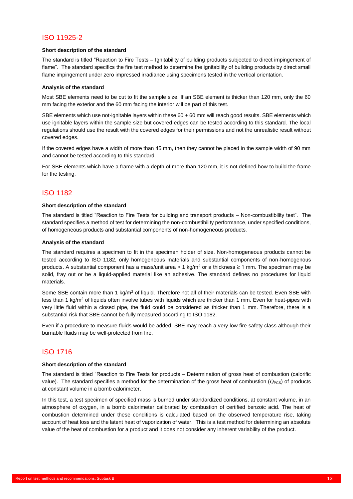### <span id="page-16-0"></span>ISO 11925-2

#### **Short description of the standard**

The standard is titled "Reaction to Fire Tests – Ignitability of building products subjected to direct impingement of flame". The standard specifics the fire test method to determine the ignitability of building products by direct small flame impingement under zero impressed irradiance using specimens tested in the vertical orientation.

#### **Analysis of the standard**

Most SBE elements need to be cut to fit the sample size. If an SBE element is thicker than 120 mm, only the 60 mm facing the exterior and the 60 mm facing the interior will be part of this test.

SBE elements which use not-ignitable layers within these 60 + 60 mm will reach good results. SBE elements which use ignitable layers within the sample size but covered edges can be tested according to this standard. The local regulations should use the result with the covered edges for their permissions and not the unrealistic result without covered edges.

If the covered edges have a width of more than 45 mm, then they cannot be placed in the sample width of 90 mm and cannot be tested according to this standard.

For SBE elements which have a frame with a depth of more than 120 mm, it is not defined how to build the frame for the testing.

#### <span id="page-16-1"></span>ISO 1182

#### **Short description of the standard**

The standard is titled "Reaction to Fire Tests for building and transport products – Non-combustibility test". The standard specifies a method of test for determining the non-combustibility performance, under specified conditions, of homogeneous products and substantial components of non-homogeneous products.

#### **Analysis of the standard**

The standard requires a specimen to fit in the specimen holder of size. Non-homogeneous products cannot be tested according to ISO 1182, only homogeneous materials and substantial components of non-homogenous products. A substantial component has a mass/unit area > 1 kg/m<sup>2</sup> or a thickness  $\geq 1$  mm. The specimen may be solid, fray out or be a liquid-applied material like an adhesive. The standard defines no procedures for liquid materials.

Some SBE contain more than 1 kg/m<sup>2</sup> of liquid. Therefore not all of their materials can be tested. Even SBE with less than 1 kg/m<sup>2</sup> of liquids often involve tubes with liquids which are thicker than 1 mm. Even for heat-pipes with very little fluid within a closed pipe, the fluid could be considered as thicker than 1 mm. Therefore, there is a substantial risk that SBE cannot be fully measured according to ISO 1182.

Even if a procedure to measure fluids would be added, SBE may reach a very low fire safety class although their burnable fluids may be well-protected from fire.

#### <span id="page-16-2"></span>ISO 1716

#### **Short description of the standard**

The standard is titled "Reaction to Fire Tests for products – Determination of gross heat of combustion (calorific value). The standard specifies a method for the determination of the gross heat of combustion (*Q<sub>PCS</sub>*) of products at constant volume in a bomb calorimeter.

In this test, a test specimen of specified mass is burned under standardized conditions, at constant volume, in an atmosphere of oxygen, in a bomb calorimeter calibrated by combustion of certified benzoic acid. The heat of combustion determined under these conditions is calculated based on the observed temperature rise, taking account of heat loss and the latent heat of vaporization of water. This is a test method for determining an absolute value of the heat of combustion for a product and it does not consider any inherent variability of the product.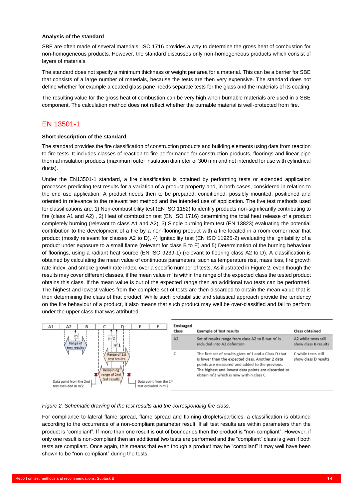#### **Analysis of the standard**

SBE are often made of several materials. ISO 1716 provides a way to determine the gross heat of combustion for non-homogeneous products. However, the standard discusses only non-homogeneous products which consist of layers of materials.

The standard does not specify a minimum thickness or weight per area for a material. This can be a barrier for SBE that consists of a large number of materials, because the tests are then very expensive. The standard does not define whether for example a coated glass pane needs separate tests for the glass and the materials of its coating.

The resulting value for the gross heat of combustion can be very high when burnable materials are used in a SBE component. The calculation method does not reflect whether the burnable material is well-protected from fire.

#### <span id="page-17-0"></span>EN 13501-1

#### **Short description of the standard**

The standard provides the fire classification of construction products and building elements using data from reaction to fire tests. It includes classes of reaction to fire performance for construction products, floorings and linear pipe thermal insulation products (maximum outer insulation diameter of 300 mm and not intended for use with cylindrical ducts).

Under the EN13501-1 standard, a fire classification is obtained by performing tests or extended application processes predicting test results for a variation of a product property and, in both cases, considered in relation to the end use application. A product needs then to be prepared, conditioned, possibly mounted, positioned and oriented in relevance to the relevant test method and the intended use of application. The five test methods used for classifications are: 1) Non-combustibility test (EN ISO 1182) to identify products non-significantly contributing to fire (class A1 and A2) , 2) Heat of combustion test (EN ISO 1716) determining the total heat release of a product completely burning (relevant to class A1 and A2), 3) Single burning item test (EN 13823) evaluating the potential contribution to the development of a fire by a non-flooring product with a fire located in a room corner near that product (mostly relevant for classes A2 to D), 4) Ignitability test (EN ISO 11925-2) evaluating the ignitability of a product under exposure to a small flame (relevant for class B to E) and 5) Determination of the burning behaviour of floorings, using a radiant heat source (EN ISO 9239-1) (relevant to flooring class A2 to D). A classification is obtained by calculating the mean value of continuous parameters, such as temperature rise, mass loss, fire growth rate index, and smoke growth rate index, over a specific number of tests. As illustrated in Figure 2, even though the results may cover different classes, if the mean value m' is within the range of the expected class the tested product obtains this class. If the mean value is out of the expected range then an additional two tests can be performed. The highest and lowest values from the complete set of tests are then discarded to obtain the mean value that is then determining the class of that product. While such probabilistic and statistical approach provide the tendency on the fire behaviour of a product, it also means that such product may well be over-classified and fail to perform under the upper class that was attributed.



*Figure 2. Schematic drawing of the test results and the corresponding fire class.*

For compliance to lateral flame spread, flame spread and flaming droplets/particles, a classification is obtained according to the occurrence of a non-compliant parameter result. If all test results are within parameters then the product is "compliant". If more than one result is out of boundaries then the product is "non-compliant". However, if only one result is non-compliant then an additional two tests are performed and the "compliant" class is given if both tests are compliant. Once again, this means that even though a product may be "compliant" it may well have been shown to be "non-compliant" during the tests.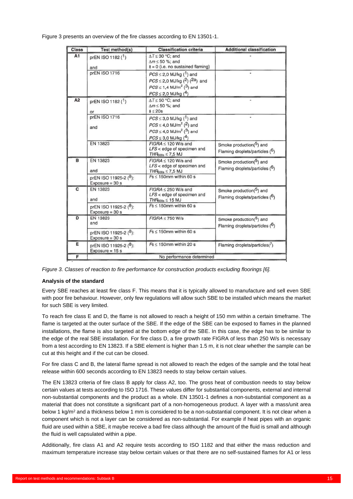Figure 3 presents an overview of the fire classes according to EN 13501-1.

| Class          | Test method(s)                             | <b>Classification criteria</b>                                                                                                                                                               | <b>Additional classification</b>                          |
|----------------|--------------------------------------------|----------------------------------------------------------------------------------------------------------------------------------------------------------------------------------------------|-----------------------------------------------------------|
| A <sub>1</sub> | prEN ISO 1182 (1)<br>and                   | $\Delta T \leq 30$ °C; and<br>$\Delta m \leq 50$ %; and<br>$t = 0$ (i.e. no sustained flaming)                                                                                               |                                                           |
|                | prEN ISO 1716                              | $PCS \leq 2,0$ MJ/kg (1) and<br>$PCS \le 2.0$ MJ/kg ( <sup>2</sup> ) ( <sup>2a</sup> ) and<br>$PCS \le 1.4$ MJ/m <sup>2</sup> ( <sup>3</sup> ) and<br>$PCS \leq 2.0$ MJ/kg ( <sup>4</sup> )  |                                                           |
| A2             | prEN ISO 1182 (1)<br>or                    | $\Delta T \leq 50$ °C; and<br>$\Delta m \leq 50$ %; and<br>$t \leq 20s$                                                                                                                      |                                                           |
|                | prEN ISO 1716<br>and                       | $PCS \leq 3.0$ MJ/kg ( $^1$ ) and<br>$PCS \leq 4.0$ MJ/m <sup>2</sup> ( <sup>2</sup> ) and<br>$PCS \leq 4.0$ MJ/m <sup>2</sup> ( <sup>3</sup> ) and<br>$PCS \leq 3.0$ MJ/kg ( <sup>4</sup> ) |                                                           |
|                | EN 13823                                   | $FIGRA < 120 W/s$ and<br>LFS < edge of specimen and<br>$THR500s \le 7,5 MJ$                                                                                                                  | Smoke production(5) and<br>Flaming droplets/particles (6) |
| в              | EN 13823<br>and                            | $FIGRA < 120 W/s$ and<br>LFS < edge of specimen and<br>$THH_{S00s} \leq 7.5$ MJ                                                                                                              | Smoke production(5) and<br>Flaming droplets/particles (6) |
|                | prEN ISO 11925-2 (8):<br>Exposure $= 30$ s | $Fs \leq 150$ mm within 60 s                                                                                                                                                                 |                                                           |
| C              | EN 13823<br>and                            | $FIGRA \leq 250$ W/s and<br>$LFS <$ edge of specimen and<br>$THF600s \leq 15$ MJ                                                                                                             | Smoke production(5) and<br>Flaming droplets/particles (6) |
|                | prEN ISO 11925-2 (8):<br>$Exposure = 30 s$ | $Fs < 150$ mm within 60 s                                                                                                                                                                    |                                                           |
| D              | EN 13823<br>and                            | $FIGRA \leq 750 W/s$                                                                                                                                                                         | Smoke production(5) and<br>Flaming droplets/particles (6) |
|                | prEN ISO 11925-2 (8):<br>$Exposure = 30 s$ | $Fs \leq 150$ mm within 60 s                                                                                                                                                                 |                                                           |
| E              | prEN ISO 11925-2 (8):<br>$Exposure = 15s$  | $Fs \leq 150$ mm within 20 s                                                                                                                                                                 | Flaming droplets/particles(7)                             |
| F              |                                            | No performance determined                                                                                                                                                                    |                                                           |

*Figure 3. Classes of reaction to fire performance for construction products excluding floorings [6].*

#### **Analysis of the standard**

Every SBE reaches at least fire class F. This means that it is typically allowed to manufacture and sell even SBE with poor fire behaviour. However, only few regulations will allow such SBE to be installed which means the market for such SBE is very limited.

To reach fire class E and D, the flame is not allowed to reach a height of 150 mm within a certain timeframe. The flame is targeted at the outer surface of the SBE. If the edge of the SBE can be exposed to flames in the planned installations, the flame is also targeted at the bottom edge of the SBE. In this case, the edge has to be similar to the edge of the real SBE installation. For fire class D, a fire growth rate FIGRA of less than 250 W/s is necessary from a test according to EN 13823. If a SBE element is higher than 1.5 m, it is not clear whether the sample can be cut at this height and if the cut can be closed.

For fire class C and B, the lateral flame spread is not allowed to reach the edges of the sample and the total heat release within 600 seconds according to EN 13823 needs to stay below certain values.

The EN 13823 criteria of fire class B apply for class A2, too. The gross heat of combustion needs to stay below certain values at tests according to ISO 1716. These values differ for substantial components, external and internal non-substantial components and the product as a whole. EN 13501-1 defines a non-substantial component as a material that does not constitute a significant part of a non-homogeneous product. A layer with a mass/unit area below 1 kg/m<sup>2</sup> and a thickness below 1 mm is considered to be a non-substantial component. It is not clear when a component which is not a layer can be considered as non-substantial. For example if heat pipes with an organic fluid are used within a SBE, it maybe receive a bad fire class although the amount of the fluid is small and although the fluid is well capsulated within a pipe.

Additionally, fire class A1 and A2 require tests according to ISO 1182 and that either the mass reduction and maximum temperature increase stay below certain values or that there are no self-sustained flames for A1 or less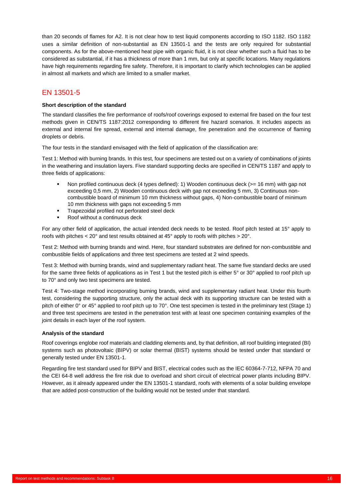than 20 seconds of flames for A2. It is not clear how to test liquid components according to ISO 1182. ISO 1182 uses a similar definition of non-substantial as EN 13501-1 and the tests are only required for substantial components. As for the above-mentioned heat pipe with organic fluid, it is not clear whether such a fluid has to be considered as substantial, if it has a thickness of more than 1 mm, but only at specific locations. Many regulations have high requirements regarding fire safety. Therefore, it is important to clarify which technologies can be applied in almost all markets and which are limited to a smaller market.

#### <span id="page-19-0"></span>EN 13501-5

#### **Short description of the standard**

The standard classifies the fire performance of roofs/roof coverings exposed to external fire based on the four test methods given in CEN/TS 1187:2012 corresponding to different fire hazard scenarios. It includes aspects as external and internal fire spread, external and internal damage, fire penetration and the occurrence of flaming droplets or debris.

The four tests in the standard envisaged with the field of application of the classification are:

Test 1: Method with burning brands. In this test, four specimens are tested out on a variety of combinations of joints in the weathering and insulation layers. Five standard supporting decks are specified in CEN/TS 1187 and apply to three fields of applications:

- Non profiled continuous deck (4 types defined): 1) Wooden continuous deck ( $>= 16$  mm) with gap not exceeding 0,5 mm, 2) Wooden continuous deck with gap not exceeding 5 mm, 3) Continuous noncombustible board of minimum 10 mm thickness without gaps, 4) Non-combustible board of minimum 10 mm thickness with gaps not exceeding 5 mm
- Trapezoidal profiled not perforated steel deck
- Roof without a continuous deck

For any other field of application, the actual intended deck needs to be tested. Roof pitch tested at 15° apply to roofs with pitches < 20° and test results obtained at 45° apply to roofs with pitches > 20°.

Test 2: Method with burning brands and wind. Here, four standard substrates are defined for non-combustible and combustible fields of applications and three test specimens are tested at 2 wind speeds.

Test 3: Method with burning brands, wind and supplementary radiant heat. The same five standard decks are used for the same three fields of applications as in Test 1 but the tested pitch is either 5° or 30° applied to roof pitch up to 70° and only two test specimens are tested.

Test 4: Two-stage method incorporating burning brands, wind and supplementary radiant heat. Under this fourth test, considering the supporting structure, only the actual deck with its supporting structure can be tested with a pitch of either 0° or 45° applied to roof pitch up to 70°. One test specimen is tested in the preliminary test (Stage 1) and three test specimens are tested in the penetration test with at least one specimen containing examples of the joint details in each layer of the roof system.

#### **Analysis of the standard**

Roof coverings englobe roof materials and cladding elements and, by that definition, all roof building integrated (BI) systems such as photovoltaic (BIPV) or solar thermal (BIST) systems should be tested under that standard or generally tested under EN 13501-1.

Regarding fire test standard used for BIPV and BIST, electrical codes such as the IEC 60364-7-712, NFPA 70 and the CEI 64-8 well address the fire risk due to overload and short circuit of electrical power plants including BIPV. However, as it already appeared under the EN 13501-1 standard, roofs with elements of a solar building envelope that are added post-construction of the building would not be tested under that standard.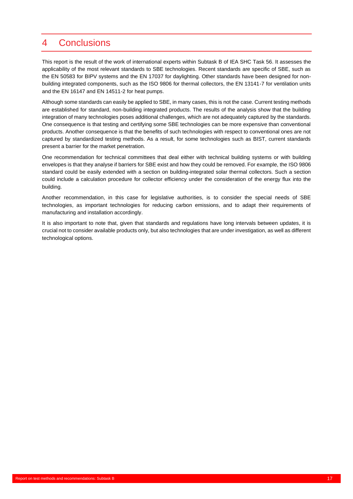### <span id="page-20-0"></span>4 Conclusions

This report is the result of the work of international experts within Subtask B of IEA SHC Task 56. It assesses the applicability of the most relevant standards to SBE technologies. Recent standards are specific of SBE, such as the EN 50583 for BIPV systems and the EN 17037 for daylighting. Other standards have been designed for nonbuilding integrated components, such as the ISO 9806 for thermal collectors, the EN 13141-7 for ventilation units and the EN 16147 and EN 14511-2 for heat pumps.

Although some standards can easily be applied to SBE, in many cases, this is not the case. Current testing methods are established for standard, non-building integrated products. The results of the analysis show that the building integration of many technologies poses additional challenges, which are not adequately captured by the standards. One consequence is that testing and certifying some SBE technologies can be more expensive than conventional products. Another consequence is that the benefits of such technologies with respect to conventional ones are not captured by standardized testing methods. As a result, for some technologies such as BIST, current standards present a barrier for the market penetration.

One recommendation for technical committees that deal either with technical building systems or with building envelopes is that they analyse if barriers for SBE exist and how they could be removed. For example, the ISO 9806 standard could be easily extended with a section on building-integrated solar thermal collectors. Such a section could include a calculation procedure for collector efficiency under the consideration of the energy flux into the building.

Another recommendation, in this case for legislative authorities, is to consider the special needs of SBE technologies, as important technologies for reducing carbon emissions, and to adapt their requirements of manufacturing and installation accordingly.

It is also important to note that, given that standards and regulations have long intervals between updates, it is crucial not to consider available products only, but also technologies that are under investigation, as well as different technological options.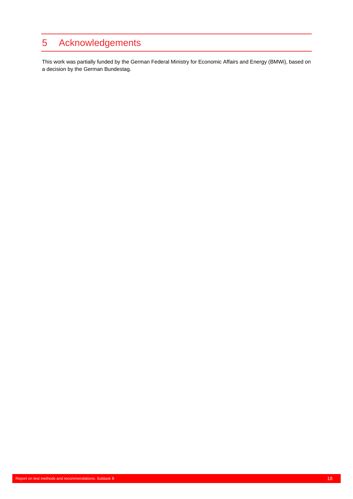## <span id="page-21-0"></span>5 Acknowledgements

This work was partially funded by the German Federal Ministry for Economic Affairs and Energy (BMWi), based on a decision by the German Bundestag.